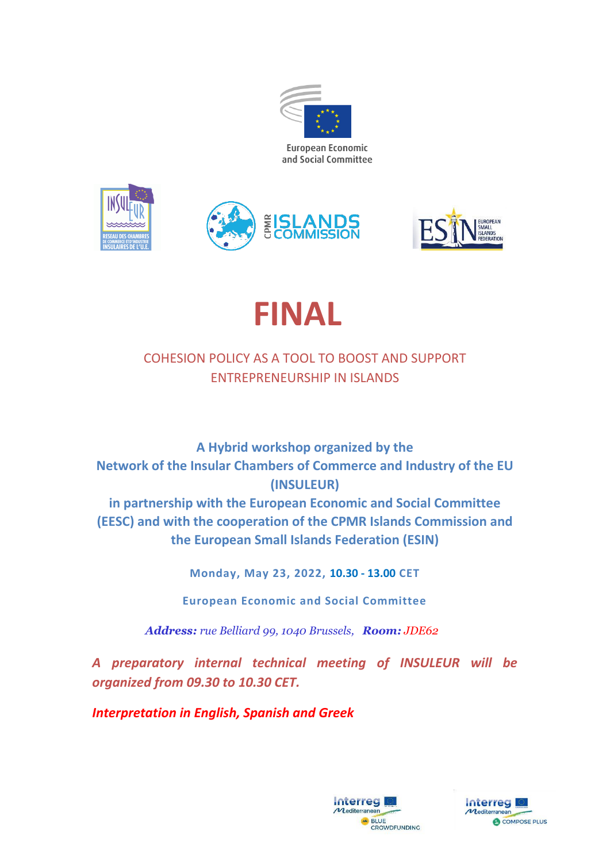





# **FINAL**

# COHESION POLICY AS A TOOL TO BOOST AND SUPPORT ENTREPRENEURSHIP IN ISLANDS

**A Hybrid workshop organized by the Network of the Insular Chambers of Commerce and Industry of the EU (INSULEUR) in partnership with the European Economic and Social Committee (EESC) and with the cooperation of the CPMR Islands Commission and the European Small Islands Federation (ESIN)**

**Monday, May 23, 2022, 10.30 - 13.00 CET**

**European Economic and Social Committee** 

 *Address: rue Belliard 99, 1040 Brussels, Room: JDE62*

*A preparatory internal technical meeting of INSULEUR will be organized from 09.30 to 10.30 CET.*

*Interpretation in English, Spanish and Greek*



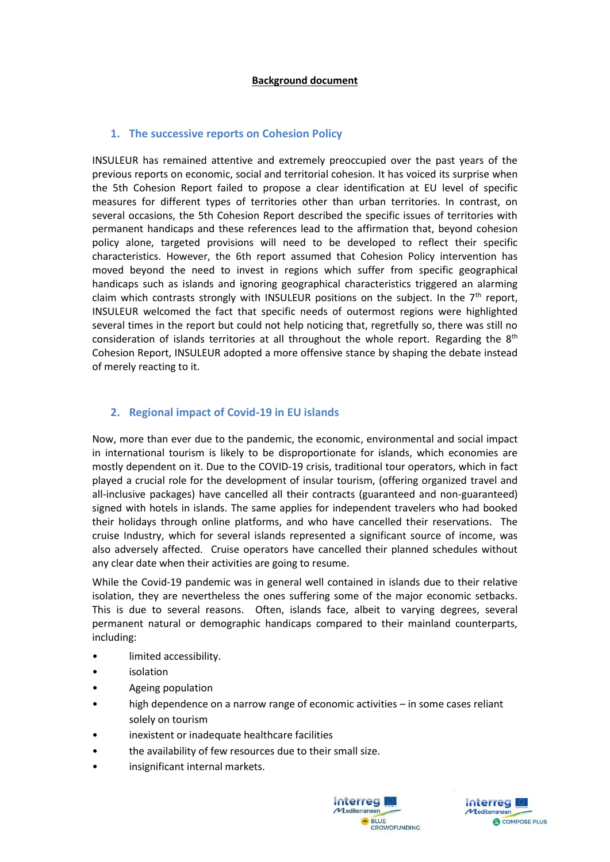# **1. The successive reports on Cohesion Policy**

INSULEUR has remained attentive and extremely preoccupied over the past years of the previous reports on economic, social and territorial cohesion. It has voiced its surprise when the 5th Cohesion Report failed to propose a clear identification at EU level of specific measures for different types of territories other than urban territories. In contrast, on several occasions, the 5th Cohesion Report described the specific issues of territories with permanent handicaps and these references lead to the affirmation that, beyond cohesion policy alone, targeted provisions will need to be developed to reflect their specific characteristics. However, the 6th report assumed that Cohesion Policy intervention has moved beyond the need to invest in regions which suffer from specific geographical handicaps such as islands and ignoring geographical characteristics triggered an alarming claim which contrasts strongly with INSULEUR positions on the subject. In the  $7<sup>th</sup>$  report, INSULEUR welcomed the fact that specific needs of outermost regions were highlighted several times in the report but could not help noticing that, regretfully so, there was still no consideration of islands territories at all throughout the whole report. Regarding the  $8<sup>th</sup>$ Cohesion Report, INSULEUR adopted a more offensive stance by shaping the debate instead of merely reacting to it.

# **2. Regional impact of Covid-19 in EU islands**

Now, more than ever due to the pandemic, the economic, environmental and social impact in international tourism is likely to be disproportionate for islands, which economies are mostly dependent on it. Due to the COVID-19 crisis, traditional tour operators, which in fact played a crucial role for the development of insular tourism, (offering organized travel and all-inclusive packages) have cancelled all their contracts (guaranteed and non-guaranteed) signed with hotels in islands. The same applies for independent travelers who had booked their holidays through online platforms, and who have cancelled their reservations. The cruise Industry, which for several islands represented a significant source of income, was also adversely affected. Cruise operators have cancelled their planned schedules without any clear date when their activities are going to resume.

While the Covid-19 pandemic was in general well contained in islands due to their relative isolation, they are nevertheless the ones suffering some of the major economic setbacks. This is due to several reasons. Often, islands face, albeit to varying degrees, several permanent natural or demographic handicaps compared to their mainland counterparts, including:

- limited accessibility.
- isolation
- Ageing population
- high dependence on a narrow range of economic activities in some cases reliant solely on tourism
- inexistent or inadequate healthcare facilities
- the availability of few resources due to their small size.
- insignificant internal markets.



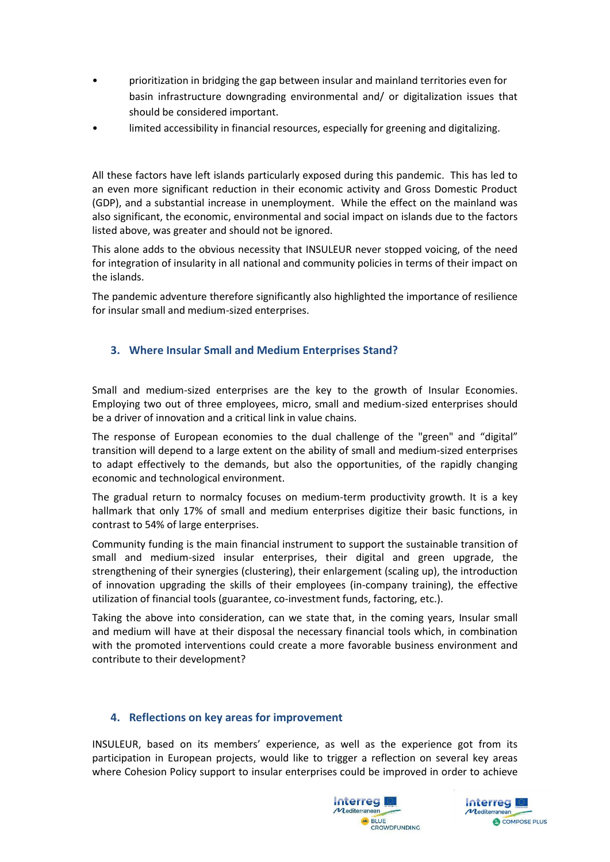- prioritization in bridging the gap between insular and mainland territories even for basin infrastructure downgrading environmental and/ or digitalization issues that should be considered important.
- limited accessibility in financial resources, especially for greening and digitalizing.

All these factors have left islands particularly exposed during this pandemic. This has led to an even more significant reduction in their economic activity and Gross Domestic Product (GDP), and a substantial increase in unemployment. While the effect on the mainland was also significant, the economic, environmental and social impact on islands due to the factors listed above, was greater and should not be ignored.

This alone adds to the obvious necessity that INSULEUR never stopped voicing, of the need for integration of insularity in all national and community policies in terms of their impact on the islands.

The pandemic adventure therefore significantly also highlighted the importance of resilience for insular small and medium-sized enterprises.

# **3. Where Insular Small and Medium Enterprises Stand?**

Small and medium-sized enterprises are the key to the growth of Insular Economies. Employing two out of three employees, micro, small and medium-sized enterprises should be a driver of innovation and a critical link in value chains.

The response of European economies to the dual challenge of the "green" and "digital" transition will depend to a large extent on the ability of small and medium-sized enterprises to adapt effectively to the demands, but also the opportunities, of the rapidly changing economic and technological environment.

The gradual return to normalcy focuses on medium-term productivity growth. It is a key hallmark that only 17% of small and medium enterprises digitize their basic functions, in contrast to 54% of large enterprises.

Community funding is the main financial instrument to support the sustainable transition of small and medium-sized insular enterprises, their digital and green upgrade, the strengthening of their synergies (clustering), their enlargement (scaling up), the introduction of innovation upgrading the skills of their employees (in-company training), the effective utilization of financial tools (guarantee, co-investment funds, factoring, etc.).

Taking the above into consideration, can we state that, in the coming years, Insular small and medium will have at their disposal the necessary financial tools which, in combination with the promoted interventions could create a more favorable business environment and contribute to their development?

# **4. Reflections on key areas for improvement**

INSULEUR, based on its members' experience, as well as the experience got from its participation in European projects, would like to trigger a reflection on several key areas where Cohesion Policy support to insular enterprises could be improved in order to achieve



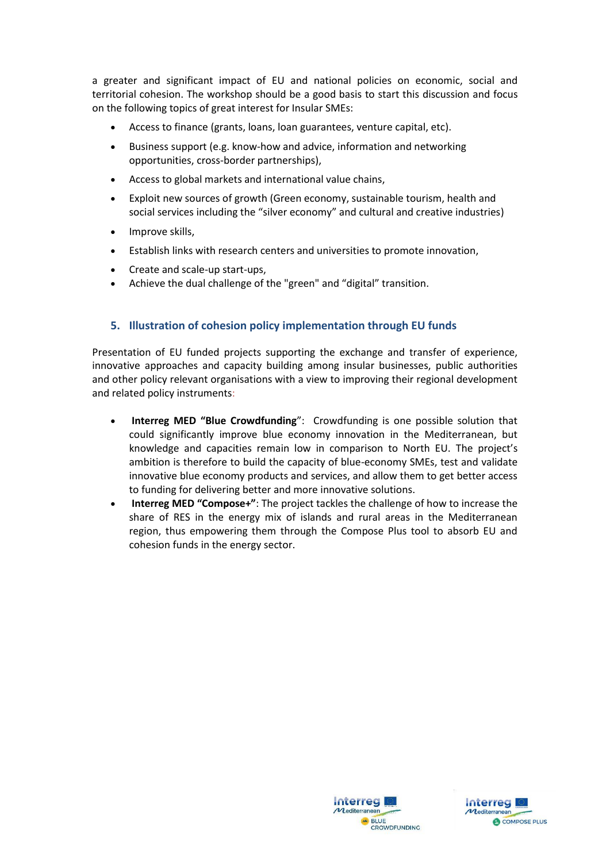a greater and significant impact of EU and national policies on economic, social and territorial cohesion. The workshop should be a good basis to start this discussion and focus on the following topics of great interest for Insular SMEs:

- Access to finance (grants, loans, loan guarantees, venture capital, etc).
- Business support (e.g. know-how and advice, information and networking opportunities, cross-border partnerships),
- Access to global markets and international value chains,
- Exploit new sources of growth (Green economy, sustainable tourism, health and social services including the "silver economy" and cultural and creative industries)
- Improve skills,
- Establish links with research centers and universities to promote innovation,
- [Create and scale-up start-ups,](https://cohesiondata.ec.europa.eu/stories/s/y7wf-mgd5)
- Achieve the dual challenge of the "green" and "digital" transition.

#### **5. Illustration of cohesion policy implementation through EU funds**

Presentation of EU funded projects supporting the exchange and transfer of experience, innovative approaches and capacity building among insular businesses, public authorities and other policy relevant organisations with a view to improving their regional development and related policy instruments:

- **Interreg MED "Blue Crowdfunding**": Crowdfunding is one possible solution that could significantly improve blue economy innovation in the Mediterranean, but knowledge and capacities remain low in comparison to North EU. The project's ambition is therefore to build the capacity of blue-economy SMEs, test and validate innovative blue economy products and services, and allow them to get better access to funding for delivering better and more innovative solutions.
- **Interreg MED "Compose+"**: The project tackles the challenge of how to increase the share of RES in the energy mix of islands and rural areas in the Mediterranean region, thus empowering them through the Compose Plus tool to absorb EU and cohesion funds in the energy sector.